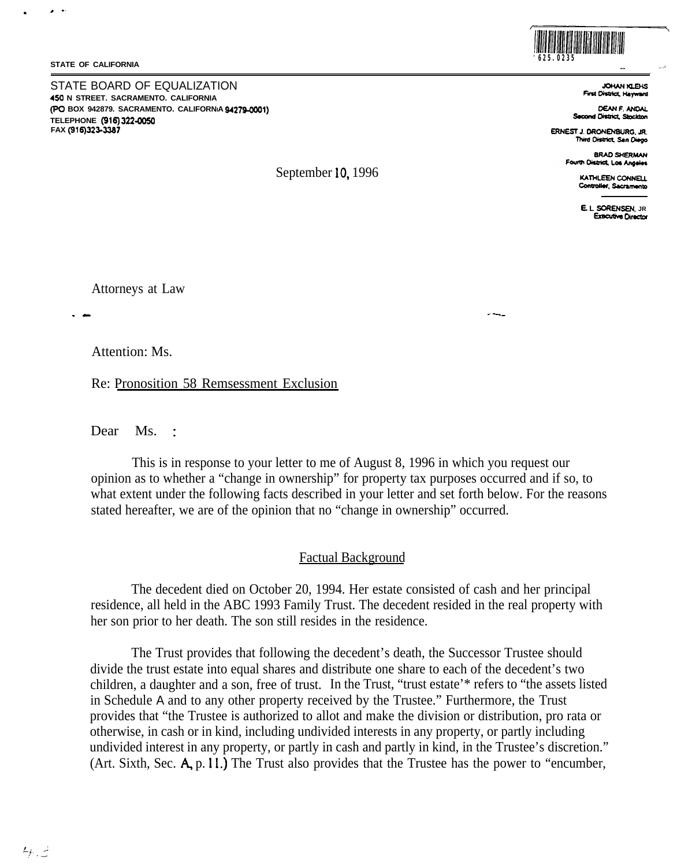#### **STATE OF CALIFORNIA**

# •·

.

STATE BOARD OF EQUALIZATION  **N STREET. SACRAMENTO. CALIFORNIA ,450 (PO BOX 942879. SACRAMENTO. CALIFORNIA <b>94279-0001) TELEPHONE (916) 322-00SO FAX (916)323-3387** 



**-- JOHAN KLEHS**<br>**First District. Hayward**  \

**CEANF.ANDAI. Second District. Stockton** 

**ERNEST J. DRONENBURG, JR. Third District. San Diego** 

> **8RA0 SHERMAN FOUtlll 0islricl. l.o&Aft9elea**

> > **KATHLEEN CONNELL Controller, Sacramento**

**E. L SORENSEN, JR Executive Director** 

Attorneys at Law

Attention: Ms.

Re: Pronosition 58 Remsessment Exclusion

Dear Ms.  $\frac{1}{2}$ 

This is in response to your letter to me of August 8, 1996 in which you request our opinion as to whether a "change in ownership" for property tax purposes occurred and if so, to what extent under the following facts described in your letter and set forth below. For the reasons stated hereafter, we are of the opinion that no "change in ownership" occurred.

September 10, 1996

# Factual Background

The decedent died on October 20, 1994. Her estate consisted of cash and her principal residence, all held in the ABC 1993 Family Trust. The decedent resided in the real property with her son prior to her death. The son still resides in the residence.

The Trust provides that following the decedent's death, the Successor Trustee should divide the trust estate into equal shares and distribute one share to each of the decedent's two children, a daughter and a son, free of trust. In the Trust, "trust estate'\* refers to "the assets listed in Schedule A and to any other property received by the Trustee." Furthermore, the Trust provides that "the Trustee is authorized to allot and make the division or distribution, pro rata or otherwise, in cash or in kind, including undivided interests in any property, or partly including undivided interest in any property, or partly in cash and partly in kind, in the Trustee's discretion." (Art. Sixth, Sec. A, p. 11.) The Trust also provides that the Trustee has the power to "encumber,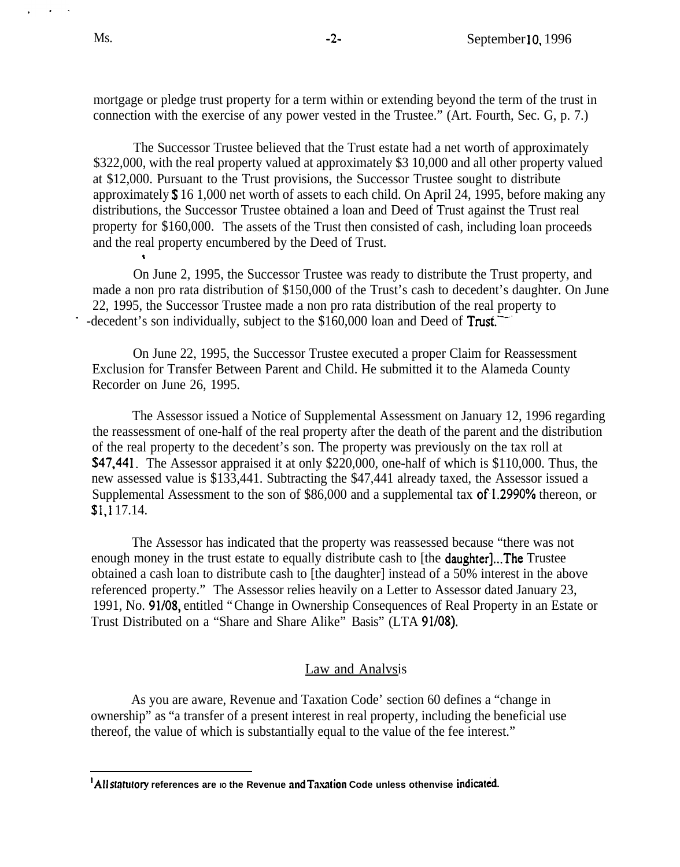mortgage or pledge trust property for a term within or extending beyond the term of the trust in connection with the exercise of any power vested in the Trustee." (Art. Fourth, Sec. G, p. 7.)

The Successor Trustee believed that the Trust estate had a net worth of approximately \$322,000, with the real property valued at approximately \$3 10,000 and all other property valued at \$12,000. Pursuant to the Trust provisions, the Successor Trustee sought to distribute approximately \$ 16 1,000 net worth of assets to each child. On April 24, 1995, before making any distributions, the Successor Trustee obtained a loan and Deed of Trust against the Trust real property for \$160,000. The assets of the Trust then consisted of cash, including loan proceeds and the real property encumbered by the Deed of Trust.

On June 2, 1995, the Successor Trustee was ready to distribute the Trust property, and made a non pro rata distribution of \$150,000 of the Trust's cash to decedent's daughter. On June 22, 1995, the Successor Trustee made a non pro rata distribution of the real property to -decedent's son individually, subject to the \$160,000 loan and Deed of Trust.

On June 22, 1995, the Successor Trustee executed a proper Claim for Reassessment Exclusion for Transfer Between Parent and Child. He submitted it to the Alameda County Recorder on June 26, 1995.

The Assessor issued a Notice of Supplemental Assessment on January 12, 1996 regarding the reassessment of one-half of the real property after the death of the parent and the distribution of the real property to the decedent's son. The property was previously on the tax roll at \$47,441. The Assessor appraised it at only \$220,000, one-half of which is \$110,000. Thus, the new assessed value is \$133,441. Subtracting the \$47,441 already taxed, the Assessor issued a Supplemental Assessment to the son of \$86,000 and a supplemental tax of-1.2990% thereon, or \$1, I 17.14.

The Assessor has indicated that the property was reassessed because "there was not enough money in the trust estate to equally distribute cash to [the **daughter]...The** Trustee obtained a cash loan to distribute cash to [the daughter] instead of a 50% interest in the above referenced property." The Assessor relies heavily on a Letter to Assessor dated January 23, 1991, No. 91/08, entitled "Change in Ownership Consequences of Real Property in an Estate or Trust Distributed on a "Share and Share Alike" Basis" (LTA 91/08).

# Law and Analvsis

As you are aware, Revenue and Taxation Code' section 60 defines a "change in ownership" as "a transfer of a present interest in real property, including the beneficial use thereof, the value of which is substantially equal to the value of the fee interest."

<sup>&</sup>lt;sup>1</sup>All statutory references are io the Revenue and Taxation Code unless othenvise indicated.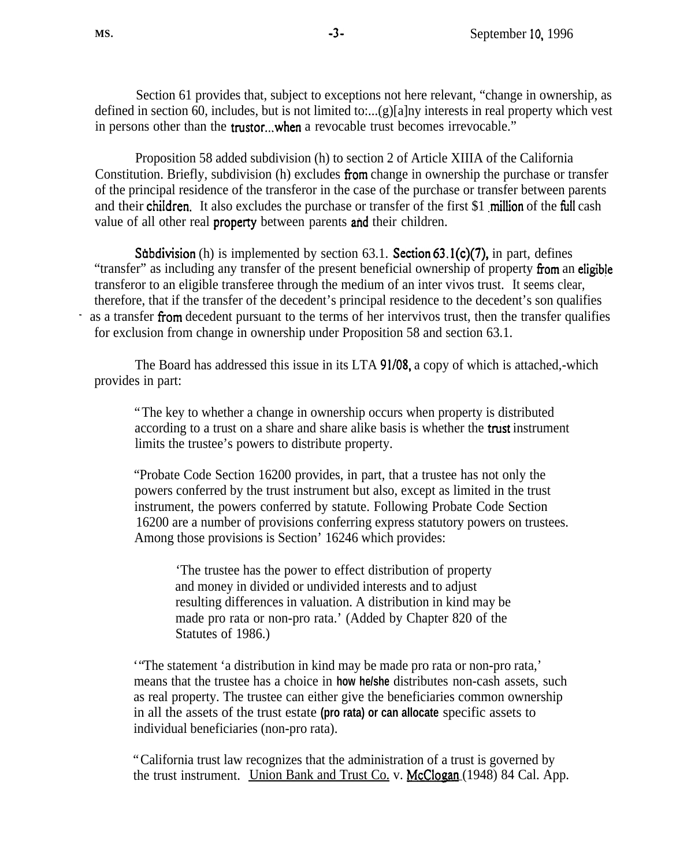Section 61 provides that, subject to exceptions not here relevant, "change in ownership, as defined in section 60, includes, but is not limited to:...(g)[a]ny interests in real property which vest in persons other than the **trustor...when** a revocable trust becomes irrevocable."

Proposition 58 added subdivision (h) to section 2 of Article XIIIA of the California Constitution. Briefly, subdivision (h) excludes from change in ownership the purchase or transfer of the principal residence of the transferor in the case of the purchase or transfer between parents and their children. It also excludes the purchase or transfer of the first \$1 million of the full cash value of all other real property between parents and their children.

Subdivision (h) is implemented by section  $63.1$ . Section  $63.1(c)(7)$ , in part, defines "transfer" as including any transfer of the present beneficial ownership of property from an eligible transferor to an eligible transferee through the medium of an inter vivos trust. It seems clear, therefore, that if the transfer of the decedent's principal residence to the decedent's son qualifies as a transfer from decedent pursuant to the terms of her intervivos trust, then the transfer qualifies for exclusion from change in ownership under Proposition 58 and section 63.1.

The Board has addressed this issue in its LTA 91/08, a copy of which is attached,-which provides in part:

"The key to whether a change in ownership occurs when property is distributed according to a trust on a share and share alike basis is whether the trust instrument limits the trustee's powers to distribute property.

"Probate Code Section 16200 provides, in part, that a trustee has not only the powers conferred by the trust instrument but also, except as limited in the trust instrument, the powers conferred by statute. Following Probate Code Section 16200 are a number of provisions conferring express statutory powers on trustees. Among those provisions is Section' 16246 which provides:

'The trustee has the power to effect distribution of property and money in divided or undivided interests and to adjust resulting differences in valuation. A distribution in kind may be made pro rata or non-pro rata.' (Added by Chapter 820 of the Statutes of 1986.)

'"The statement 'a distribution in kind may be made pro rata or non-pro rata,' means that the trustee has a choice in **how he/she** distributes non-cash assets, such as real property. The trustee can either give the beneficiaries common ownership in all the assets of the trust estate **(pro rata) or can allocate** specific assets to individual beneficiaries (non-pro rata).

"California trust law recognizes that the administration of a trust is governed by the trust instrument. Union Bank and Trust Co. v. McClogan (1948) 84 Cal. App.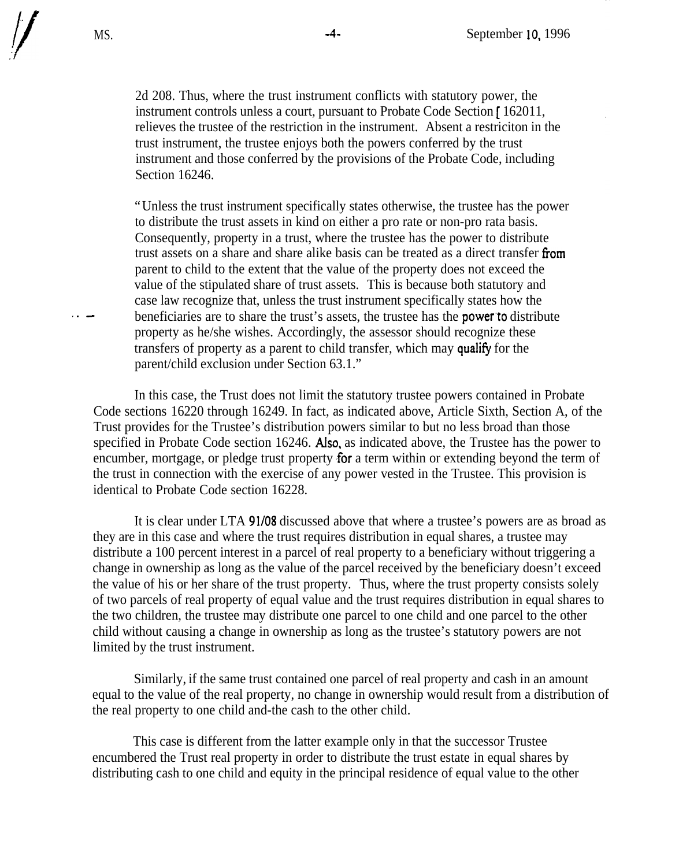2d 208. Thus, where the trust instrument conflicts with statutory power, the instrument controls unless a court, pursuant to Probate Code Section [ 162011, relieves the trustee of the restriction in the instrument. Absent a restriciton in the trust instrument, the trustee enjoys both the powers conferred by the trust instrument and those conferred by the provisions of the Probate Code, including Section 16246.

"Unless the trust instrument specifically states otherwise, the trustee has the power to distribute the trust assets in kind on either a pro rate or non-pro rata basis. Consequently, property in a trust, where the trustee has the power to distribute trust assets on a share and share alike basis can be treated as a direct transfer from parent to child to the extent that the value of the property does not exceed the value of the stipulated share of trust assets. This is because both statutory and case law recognize that, unless the trust instrument specifically states how the beneficiaries are to share the trust's assets, the trustee has the **power** to distribute property as he/she wishes. Accordingly, the assessor should recognize these transfers of property as a parent to child transfer, which may qualify for the parent/child exclusion under Section 63.1."

In this case, the Trust does not limit the statutory trustee powers contained in Probate Code sections 16220 through 16249. In fact, as indicated above, Article Sixth, Section A, of the Trust provides for the Trustee's distribution powers similar to but no less broad than those specified in Probate Code section 16246. Also, as indicated above, the Trustee has the power to encumber, mortgage, or pledge trust property for a term within or extending beyond the term of the trust in connection with the exercise of any power vested in the Trustee. This provision is identical to Probate Code section 16228.

It is clear under LTA 91/08 discussed above that where a trustee's powers are as broad as they are in this case and where the trust requires distribution in equal shares, a trustee may distribute a 100 percent interest in a parcel of real property to a beneficiary without triggering a change in ownership as long as the value of the parcel received by the beneficiary doesn't exceed the value of his or her share of the trust property. Thus, where the trust property consists solely of two parcels of real property of equal value and the trust requires distribution in equal shares to the two children, the trustee may distribute one parcel to one child and one parcel to the other child without causing a change in ownership as long as the trustee's statutory powers are not limited by the trust instrument.

Similarly, if the same trust contained one parcel of real property and cash in an amount equal to the value of the real property, no change in ownership would result from a distribution of the real property to one child and-the cash to the other child.

This case is different from the latter example only in that the successor Trustee encumbered the Trust real property in order to distribute the trust estate in equal shares by distributing cash to one child and equity in the principal residence of equal value to the other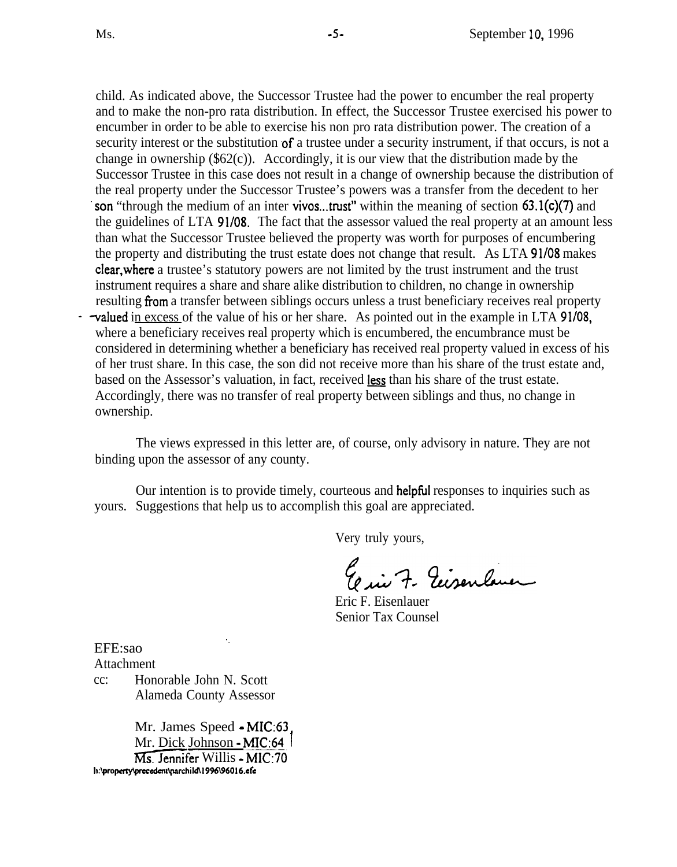child. As indicated above, the Successor Trustee had the power to encumber the real property and to make the non-pro rata distribution. In effect, the Successor Trustee exercised his power to encumber in order to be able to exercise his non pro rata distribution power. The creation of a security interest or the substitution of a trustee under a security instrument, if that occurs, is not a change in ownership (\$62(c)). Accordingly, it is our view that the distribution made by the Successor Trustee in this case does not result in a change of ownership because the distribution of the real property under the Successor Trustee's powers was a transfer from the decedent to her son "through the medium of an inter vivos...trust" within the meaning of section 63.1(c)(7) and the guidelines of LTA 91/08. The fact that the assessor valued the real property at an amount less than what the Successor Trustee believed the property was worth for purposes of encumbering the property and distributing the trust estate does not change that result. As LTA 91/08 makes clear, where a trustee's statutory powers are not limited by the trust instrument and the trust instrument requires a share and share alike distribution to children, no change in ownership resulting from a transfer between siblings occurs unless a trust beneficiary receives real property valued in excess of the value of his or her share. As pointed out in the example in LTA 91/08, where a beneficiary receive • valued in excess of the value of his or her share. As pointed out in the example in LTA 91/08. where a beneficiary receives real property which is encumbered, the encumbrance must be considered in determining whether a beneficiary has received real property valued in excess of his of her trust share. In this case, the son did not receive more than his share of the trust estate and, based on the Assessor's valuation, in fact, received less than his share of the trust estate. Accordingly, there was no transfer of real property between siblings and thus, no change in

ownership.

The views expressed in this letter are, of course, only advisory in nature. They are not binding upon the assessor of any county.

Our intention is to provide timely, courteous and helpful responses to inquiries such as yours. Suggestions that help us to accomplish this goal are appreciated.

Very truly yours,

El in 7. Ecisenlane

Eric F. Eisenlauer Senior Tax Counsel

EFE:sao

Attachment

cc: Honorable John N. Scott Alameda County Assessor

Mr. James Speed - MIC:63 Mr. Dick Johnson - MIC:64 Ms. Jennifer Willis -MIC:70 h:\property\precedent\parchild\1996\96016.efe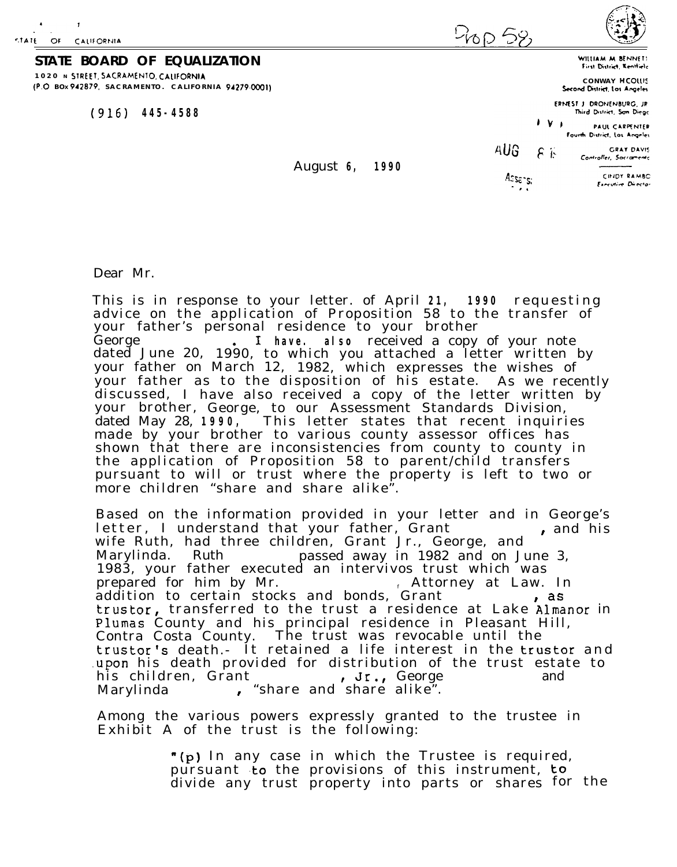-1



**STATE BOARD OF EQUALIZATION 1020 N**  STREET. SACRAMENTO. CALIFORNIA  **B OX SACRAMENTO. CALIFORNIA** (P.O 942879. *94279* 0001)

(916) **445-4588** 

**CONWAY**  HCOlll~ First District, Kenttiele Second District, Los Angeles

WILLIAM M BENNET:

**ERNEST J DRONENBURG, JR** Third District, San Diego

I V I PAUL CARPENTER Fourth District, Los Angeles

~UG  $F \left| \begin{matrix} \cdot & \cdot & \cdot & \cdot \\ \cdot & \cdot & \cdot & \cdot & \cdot \\ \cdot & \cdot & \cdot & \cdot & \cdot \\ \cdot & \cdot & \cdot & \cdot & \cdot \end{matrix} \right|$ 

August **6, 1990**

Assans:

(l>IDY RAMBC Frechive Director

Dear Mr.

This is in response to your letter. of April 21, 1990 requesting advice on the application of Proposition 58 to the transfer of your father's personal residence to your brother<br>George **Figure 1. Fibave. also** received a copy I **have. also** received a copy of your note dated June 20, 1990, to which you attached a letter written by your father on March 12, 1982, which expresses the wishes of your father as to the disposition of his estate. As we recently discussed, I have also received a copy of the letter written by your brother, George, to our Assessment Standards Division, dated May 28, **1990,** This letter states that recent inquiries made by your brother to various county assessor offices has shown that there are inconsistencies from county to county in the application of Proposition 58 to parent/child transfer s pursuant to will or trust where the property is left to two or more children "share and share alike".

Based on the information provided in your letter and in George's letter, I understand that your father, Grant , and his wife Ruth, had three children, Grant Jr., George, and Marylinda. Ruth passed away in 1982 and on June 3, 1983, your father executed an intervivos trust which was prepared for him by Mr. *<sup>f</sup>* Attorney at Law. In addition to certain stocks and bonds, Grant , as trustor, transferred to the trust a residence at Lake Almanor in Plumas County and his principal residence in Pleasant Hill, Contra Costa County. The trust was revocable until the trustor's death.- It retained a life interest in the trustor and upon his death provided for distribution of the trust estate to<br>his children, Grant , Jr., George and his children, Grant , Jr., George<br>Marylinda , "share and share alike".

Among the various powers expressly granted to the trustee in Exhibit A of the trust is the following:

> "(p) In any case in which the Trustee is required, pursuant to the provisions of this instrument, to divide any trust property into parts or shares for the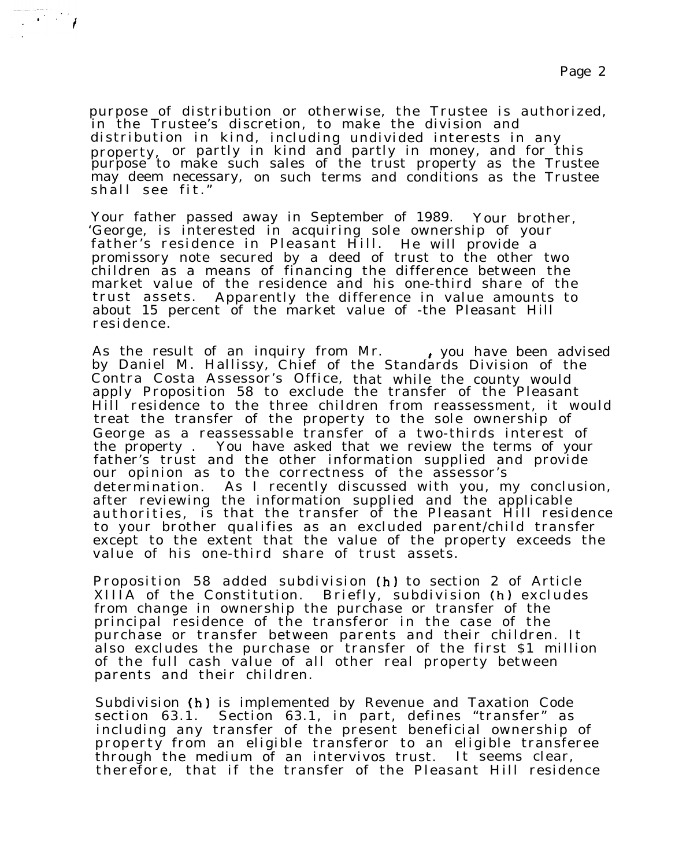purpose of distribution or otherwise, the Trustee is authorized, in the Trustee's discretion, to make the division and distribution in kind, including undivided interests in any property, or partly in kind and partly in money, and for this purpose to make such sales of the trust property as the Trustee may deem necessary, on such terms and conditions as the Trustee shall see fit. "

 $\mathbb{E}[\mathcal{F}^{(1)}]$ 

Your father passed away in September of 1989. Your brother, 'George, is interested in acquiring sole ownership of your father's residence in Pleasant Hill. He will provide a promissory note secured by a deed of trust to the other two children as a means of financing the difference between the market value of the residence and his one-third share of the trust assets . Apparently the difference in value amounts to about 15 percent of the market value of -the Pleasant Hill residence .

As the result of an inquiry from Mr. . . , you have been advised by Daniel M. Hallissy, Chief of the Standards Division of the Contra Costa Assessor's Office, that while the county would apply Proposition 58 to exclude the transfer of the Pleasant Hill residence to the three children from reassessment, it would treat the transfer of the property to the sole ownership of George as a reassessable transfer of a two-thirds interest of the property . You have asked that we review the terms of your father's trust and the other information supplied and provide our opinion as to the correctness of the assessor's determination. As I recently discussed with you, my conclusion, after reviewing the information supplied and the applicable authorities, is that the transfer of the Pleasant Hill residence to your brother qualifies as an excluded parent/child transfer except to the extent that the value of the property exceeds the value of his one-third share of trust assets.

Proposition 58 added subdivision (h) to section 2 of Article XIIIA of the Constitution. Briefly, subdivision (h) excludes from change in ownership the purchase or transfer of the principal residence of the transferor in the case of the purchase or transfer between parents and their children. It also excludes the purchase or transfer of the first \$1 million of the full cash value of all other real property between parents and their children.

Subdivision (h) is implemented by Revenue and Taxation Code section 63.1. Section 63.1, in part, defines "transfer" as including any transfer of the present beneficial ownership of property from an eligible transferor to an eligible transferee through the medium of an intervivos trust. It seems clear, therefore, that if the transfer of the Pleasant Hill residence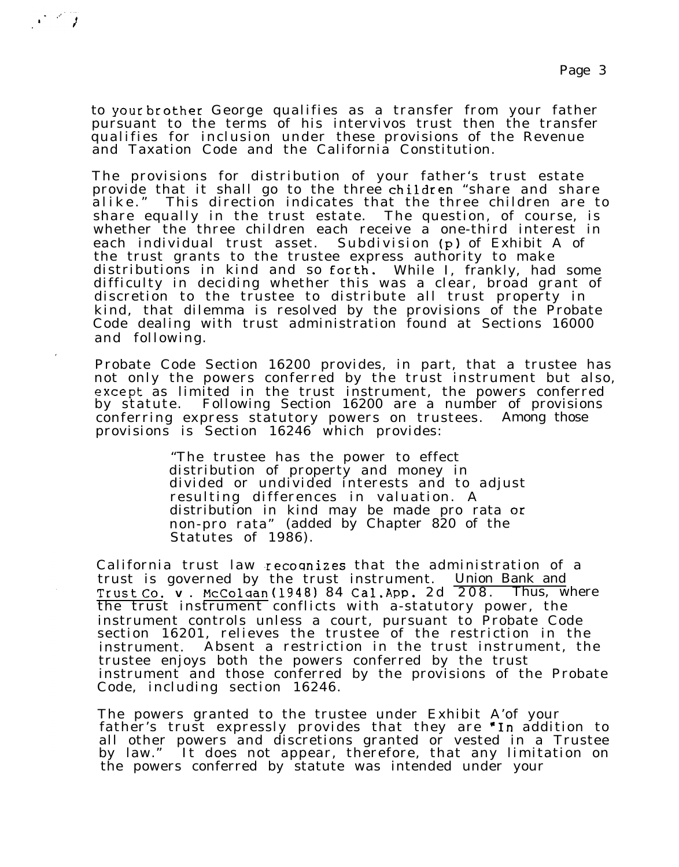to your brother George qualifies as a transfer from your father pursuant to the terms of his intervivos trust then the transfer qualifies for inclusion under these provisions of the Revenue and Taxation Code and the California Constitution.

The provisions for distribution of your father's trust estate provide that it shall go to the three children "share and share alike. " This direction indicates that the three children are to share equally in the trust estate. The question, of course, is whether the three children each receive a one-third interest in each individual trust asset. Subdivision (p) of Exhibit A of the trust grants to the trustee express authority to make distributions in kind and so forth. While I, frankly, had some difficulty in deciding whether this was a clear, broad grant of discretion to the trustee to distribute all trust property in kind, that dilemma is resolved by the provisions of the Probate Code dealing with trust administration found at Sections 16000 and following.

Probate Code Section 16200 provides, in part, that a trustee has not only the powers conferred by the trust instrument but also, except as limited in the trust instrument, the powers conferred by statute . Following Section 16200 are a number of provisions conferring express statutory powers on trustees. Among those provisions is Section 16246 which provides:

> "The trustee has the power to effect distribution of property and money in divided or undivided interests and to adjust resulting differences in valuation. A distribution in kind may be made pro rata or non-pro rata" (added by Chapter 820 of the Statutes of 1986).

California trust law recoqnizes that the administration of a trust is governed by the trust instrument. Union Bank and Trust Co. **<sup>V</sup> .** McColqan{l948) 84 Cal **.App.** 2d 208 . Thus, where the trust instrument conflicts with a-statutory power, the instrument controls unless a court, pursuant to Probate Code section 16201, relieves the trustee of the restriction in the instrument. Absent a restriction in the trust instrument, the trustee enjoys both the powers conferred by the trust instrument and those conferred by the provisions of the Probate Code, including section 16246.

The powers granted to the trustee under Exhibit A'of your father's trust expressly provides that they are **"In** addition to all other powers and discretions granted or vested in a Trustee by law." It does not appear, therefore, that any limitation on the powers conferred by statute was intended under your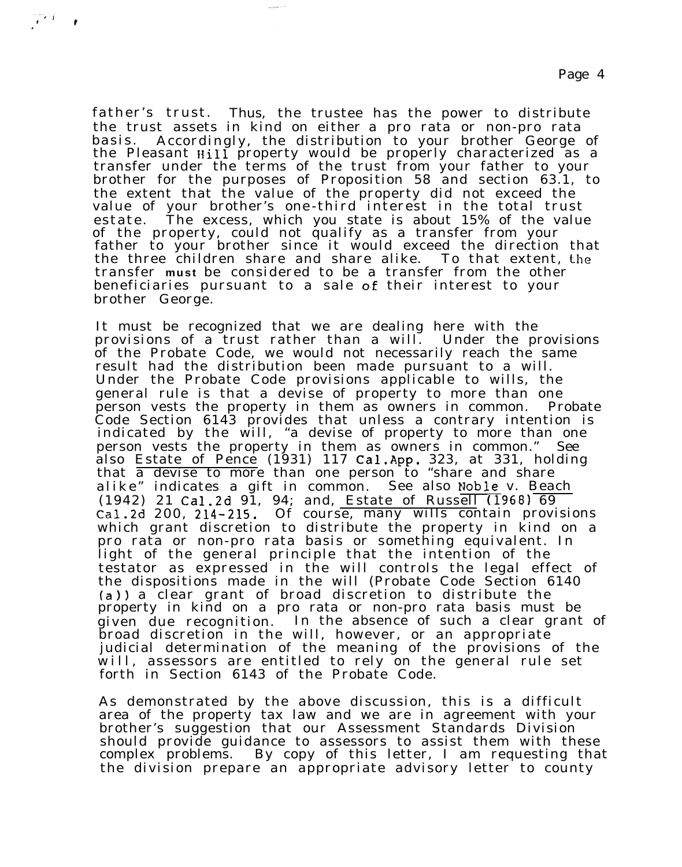father's trust. Thus, the trustee has the power to distribute the trust assets in kind on either a pro rata or non-pro rata basis. Accordingly, the distribution to your brother George of the Pleasant Hill property would be properly characterized as a transfer under the terms of the trust from your father to your brother for the purposes of Proposition 58 and section 63.1, to the extent that the value of the property did not exceed the value of your brother's one-third interest in the total trust estate. The excess, which you state is about 15% of the value of the property, could not qualify as a transfer from your father to your brother since it would exceed the direction that the three children share and share alike. To that extent, the transfer **must** be considered to be a transfer from the other beneficiaries pursuant to a sale of their interest to your brother George.

It must be recognized that we are dealing here with the provisions of a trust rather than a will. Under the provisions of the Probate Code, we would not necessarily reach the same result had the distribution been made pursuant to a will. Under the Probate Code provisions applicable to wills, the general rule is that a devise of property to more than one person vests the property in them as owners in common. Probate Code Section 6143 provides that unless a contrary intention is indicated by the will, "a devise of property to more than one person vests the property in them as owners in common." See also Estate of Pence (1931) 117 **Cal.App.** 323, at 331, holding that a devise to more than one person to "share and share alike" indicates a gift in common. See also Noble v. Beach (1942) 21 Cal. 2d 91, 94; and, Estate of Russell (1968) 69 Cal.2d 200, 214-215. Of course, many wills contain provisions which grant discretion to distribute the property in kind on a pro rata or non-pro rata basis or something equivalent. In light of the general principle that the intention of the testator as expressed in the will controls the legal effect of the dispositions made in the will (Probate Code Section 6140 (a}) a clear grant of broad discretion to distribute the property in kind on a pro rata or non-pro rata basis must be given due recognition. In the absence of such a clear grant of broad discretion in the will, however, or an appropriate judicial determination of the meaning of the provisions of the will, assessors are entitled to rely on the general rule set forth in Section 6143 of the Probate Code.

As demonstrated by the above discussion, this is a difficult area of the property tax law and we are in agreement with your brother's suggestion that our Assessment Standards Division should provide guidance to assessors to assist them with these complex problems. By copy of this letter, I am requesting that the division prepare an appropriate advisory letter to county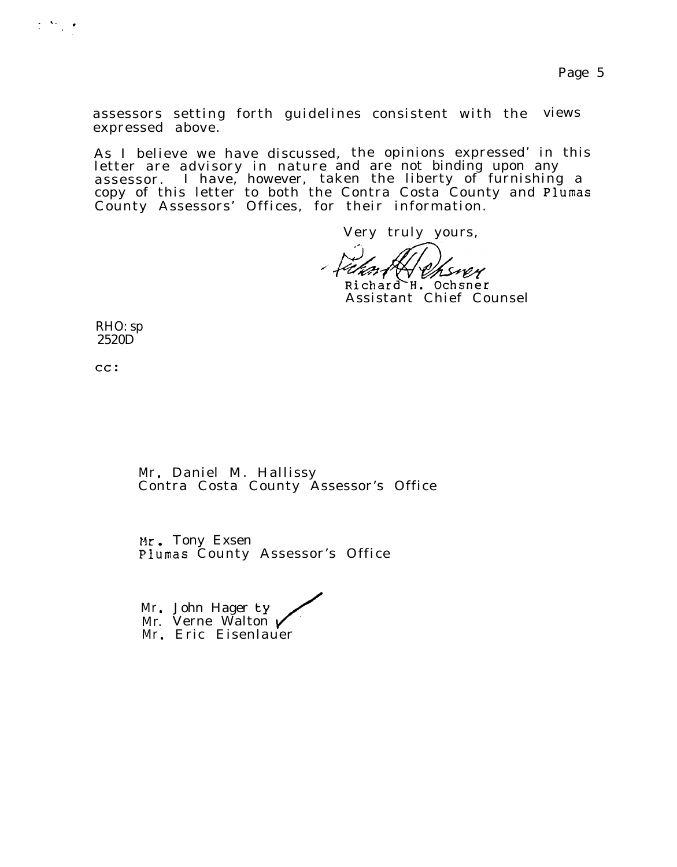assessors setting forth guidelines consistent with the views expressed above.

As I believe we have discussed, the opinions expressed' in this letter are advisory in nature and are not binding upon any assessor . I have, however, taken the liberty of furnishing a copy of this letter to both the Contra Costa County and Plumas County Assessors' Offices, for their information.

Very truly yours,

-+urnt Andrewer Richard H. Ochsner

Assistant Chief Counsel

RHO: sp 2520D

cc:

 $\frac{1}{2} \sum_{i=1}^n \frac{1}{2} \sum_{j=1}^n \frac{1}{2} \sum_{j=1}^n \frac{1}{2} \sum_{j=1}^n \frac{1}{2} \sum_{j=1}^n \frac{1}{2} \sum_{j=1}^n \frac{1}{2} \sum_{j=1}^n \frac{1}{2} \sum_{j=1}^n \frac{1}{2} \sum_{j=1}^n \frac{1}{2} \sum_{j=1}^n \frac{1}{2} \sum_{j=1}^n \frac{1}{2} \sum_{j=1}^n \frac{1}{2} \sum_{j=1}^n \frac{1}{2} \sum_{j=$ 

Mr. Daniel M. Hallissy Contra Costa County Assessor's Office

Mr. Tony Exsen Plumas County Assessor's Office

Mr. John Hager ty Mr. Verne Walton  $\nu$ Mr. Eric Eisenlauer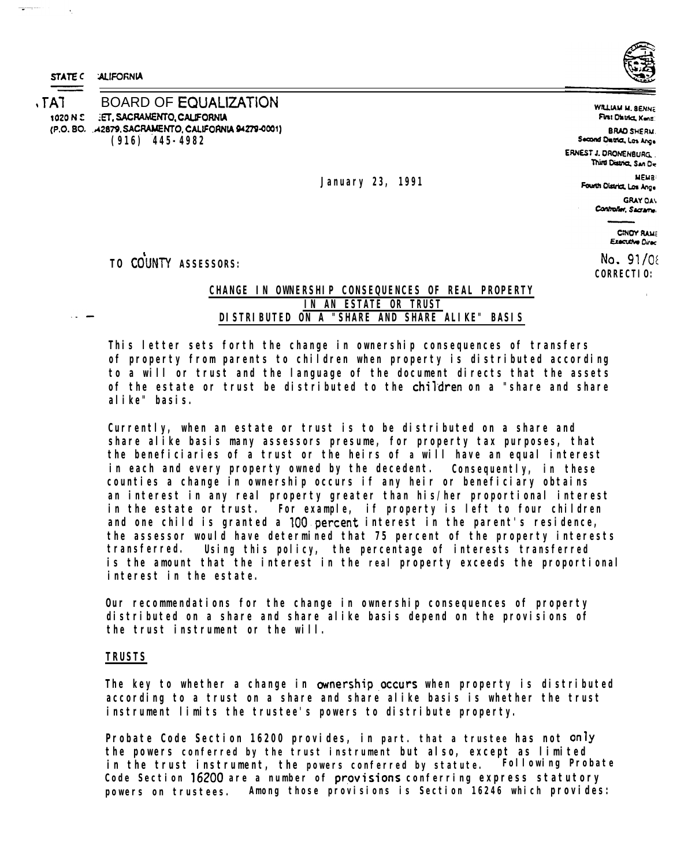STATE C : ALIFORNIA

 $\ddot{\phantom{a}}$ 

TAT BOARD OF EQUALIZATION **(916) 445-4982** tOZO N !: .:ET, SACRAMENTO, CALIFORNIA (P.O. BO. ... 42879, SACRAMENTO, CALIFORNIA 94279-0001)

WILLIAM M. BEHNE First District, Konzi **BRAD SHERM.** Second District, Los Ange ERNEST J. DAONENBURG. . Third District, San De

**January 23, 1991**

Fourth District, Los Ange GRAYOA\ Controller, Sacrame.

MEMa,

**CINOY RAMS Executive Direc** 

 $No. 91/06$ **CORRECTIO:**

TO COUNTY ASSESSORS:

# **CHANGE IN OWNERSHIP CONSEQUENCES OF REAL PROPERTY IN AN ESTATE OR TRUST DISTRIBUTED ON A "SHARE AND SHARE ALIKE" BASIS**

**This letter sets forth the change in ownership consequences of transfers of property from parents to children when property is distributed according to a will or trust and the language of the document directs that the assets of the estate or trust be distributed to the** children **on a "share and share alike" basis.**

**Currently, when an estate or trust is to be distributed on a share and share alike basis many assessors presume, for property tax purposes, that the beneficiaries of a trust or the heirs of a will have an equal interest in each and every property owned by the decedent. Consequently, in these counties a change in ownership occurs if any heir or beneficiary obtains an interest in any real property greater than his/her proportional interest in the estate or trust. For example, if property is left to four children and one child is granted a** 100. percent **interest in the parent's residence, the assessor would have determined that 75 percent of the property interests transferred. Using this policy, the percentage of interests transferred is the amount that the interest in the real property exceeds the proportional interest in the estate.**

**Our recommendations for the change in ownership consequences of property distributed on a share and share alike basis depend on the provisions of the trust instrument or the will.**

## **TRUSTS**

**The key to whether a change in ownership occurs when property is distributed according to a trust on a share and share alike basis is whether the trust instrument limits the trustee's powers to distribute property.**

**Probate Code Section 16200 provides, in part. that a trustee has not** only **the powers conferred by the trust instrument but also, except as limited in the trust instrument, the powers conferred by statute. Code Section** 16200 **are a number of** pr\_ov is; ons **conferring express statutory powers on trustees. Among those provisions is Section 16246 which provides:**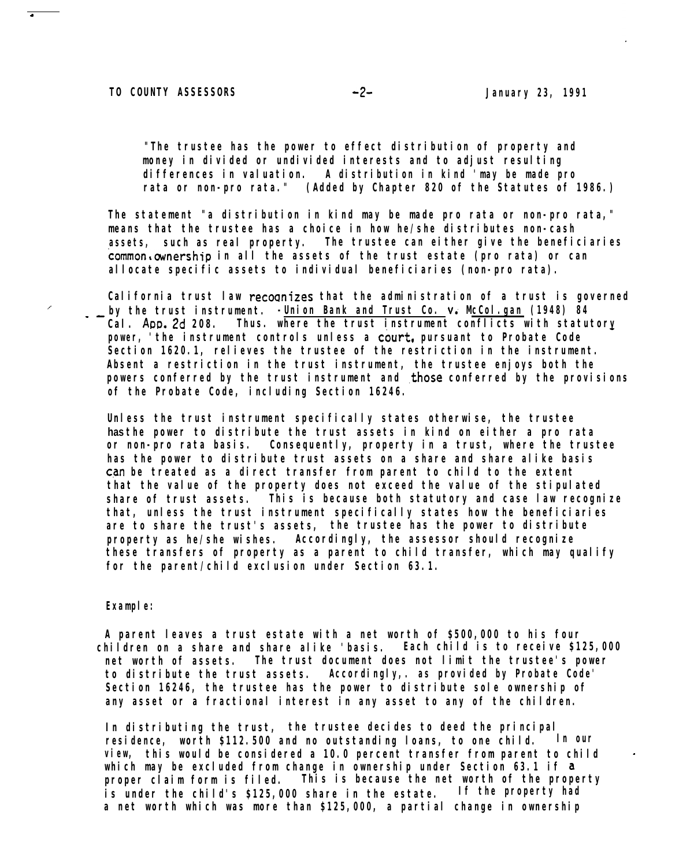**"The trustee has the power to effect distribution of property and money in divided or undivided interests and to adjust resulting differences in valuation. A distribution in kind 'may be made pro rata or non-pro rata." (Added by Chapter 820 of the Statutes of 1986.)**

**The statement "a distribution in kind may be made pro rata or non-pro rata," means that the trustee has a choice in how he/she distributes non-cash assets, such as real property. The trustee can either give the beneficiaries** common,ownership **in all the assets of the trust estate (pro rata) or can allocate specific assets to individual beneficiaries (non-pro rata).**

**California trust law** recoqnizes **that the administration of a trust is governed** by the trust instrument. **-Union Bank and Trust Co.**  $\vee$ . McCol.gan (1948) 84 **Cal.** App. 2d **208. Thus. where the trust instrument conflicts with statutory power, 'the instrument controls unless a** court, **pursuant to Probate Code Section 1620.1, relieves the trustee of the restriction in the instrument. Absent a restriction in the trust instrument, the trustee enjoys both the powers conferred by the trust instrument and those conferred by the provisions of the Probate Code, including Section 16246.**

**Unless the trust instrument specifically states otherwise, the trustee has the power to distribute the trust assets in kind on either a pro rata or non-pro rata basis. Consequently, property in a trust, where the trustee has the power to distribute trust assets on a share and share alike basis** c.an **be treated as a direct transfer from parent to child to the extent that the value of the property does not exceed the value of the stipulated share of trust assets. This is because both statutory and case law recognize that, unless the trust instrument specifically states how the beneficiaries are to share the trust's assets, the trustee has the power to distribute property as he/she wishes. Accordingly, the assessor should recognize these transfers of property as a parent to child transfer, which may qualify for the parent/child exclusion under Section 63.1.**

### **Example:**

Ź

**A parent leaves a trust estate with a net worth of \$500,000 to his four children on a share and share alike 'basis. Each child is to receive \$125,000 net worth of assets. The trust document does not limit the trustee's power to distribute the trust assets. Accordingly,. as provided by Probate Code' Section 16246, the trustee has the power to distribute sole ownership of any asset or a fractional interest in any asset to any of the children.**

**In distributing the trust, the trustee decides to deed the principal residence, worth \$112.500 and no outstanding loans, to one child. In our view, this would be considered a 10.0 percent transfer from parent to child which may be excluded from change in ownership under Section 63.1 if** <sup>a</sup> **proper claim form is filed. This is because the net worth of the property is under the child's \$125,000 share in the estate. If the property had a net worth which was more than \$125,000, a partial change in ownership**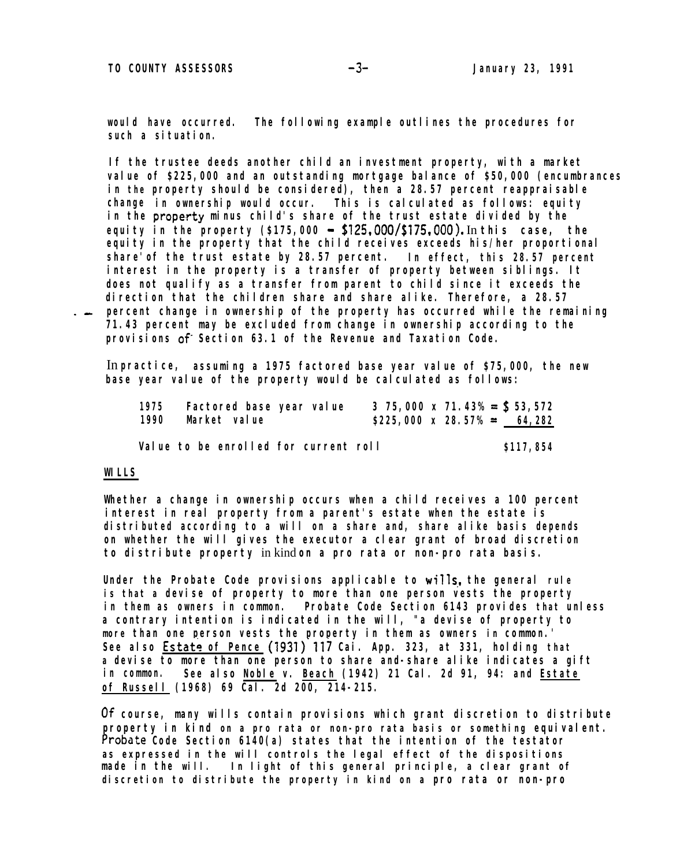**would have occurred. The following example outlines the procedures for such a situation.**

**If the trustee deeds another child an investment property, with a market value of \$225,000 and an outstanding mortgage balance of \$50,000 (encumbrances in the property should be considered), then a 28.57 percent reappraisable change in ownership would occur. This is calculated as follows: equity in the property minus child's share of the trust estate divided by the equity in the property (\$175,000** \_ \$125,000/\$175,000). In **this case, the equity in the property that the child receives exceeds his/her proportional share'of the trust estate by 28.57 percent. In effect, this 28.57 percent interest in the property is a transfer of property between siblings. It does not qualify as a transfer from parent to child since it exceeds the direction that the children share and share alike. Therefore, a 28.57 percent change in ownership of the property has occurred while the remaining 71.43 percent may be excluded from change in ownership according to the provisions** of **Section 63.1 of the Revenue and Taxation Code.**

In **practice, assuming a 1975 factored base year value of \$75,000, the new base year value of the property would be calculated as follows:**

| 1975 | <b>Factored base year value</b>       | 3 75,000 x 71.43% = $$3,572$ | 64.282     |
|------|---------------------------------------|------------------------------|------------|
| 1990 | <b>Market</b> value                   | $$225,000 \times 28.57\% =$  |            |
|      | Value to be enrolled for current roll |                              | \$117, 854 |

### **WILLS**

**Whether a change in ownership occurs when a child receives a 100 percent interest in real property from a parent's estate when the estate is distributed according to a will on a share and, share alike basis depends on whether the will gives the executor a clear grant of broad discretion to distribute property** in kind **on a pro rata or non-pro rata basis.**

**Under the Probate Code provisions applicable to wills\_, the general rule is that a devise of property to more than one person vests the property in them as owners in common. Probate Code Section 6143 provides that unless a contrary intention is indicated in the will, "a devise of property to** *more* **than one person vests the property in them as owners** *in* **common.'** See also **Estate of Pence** (1931) 117 Cai. App. 323, at 331, holding that **a devise to more than one person to share and-share alike indicates a gift in common. See also Noble v. Beach (1942) 21 Cal. 2d 91, 94: and Estate of Russell (1968) 69 Cal. 2d 200, 214-215.**

**Of course, many wills contain provisions which grant discretion to distribute property in kind on a pro rata or non-pro rata basis or something equivalent. Probate Code Section 6140(a) states that the intention of the testator as expressed in the will controls the legal effect of the dispositions made in the will. In light of this general principle, a clear grant of discretion to distribute the property in kind on a pro rata or non-pro**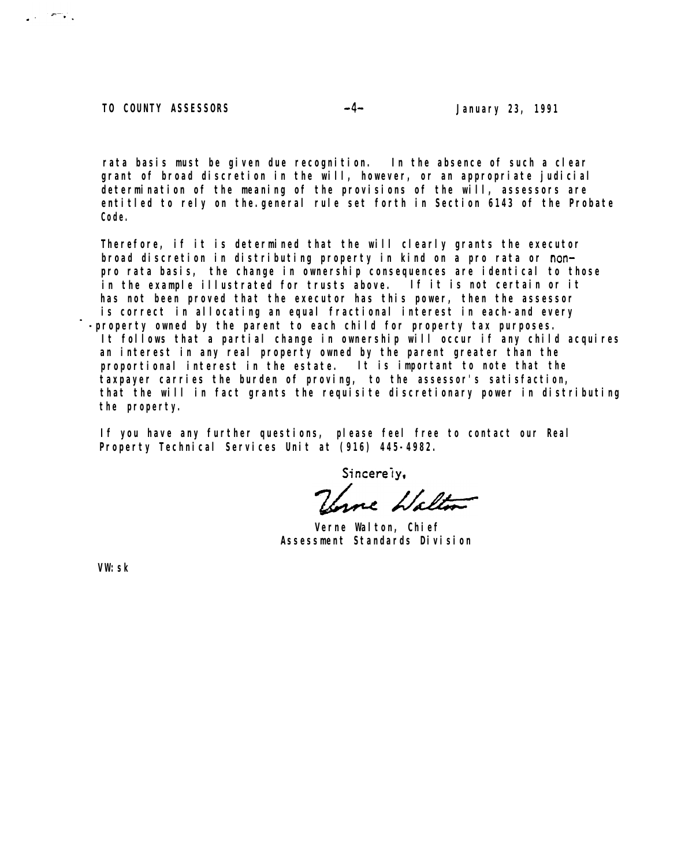**TO COUNTY ASSESSORS January 23, 1991**

 $\mathbb{R}^n \times \mathbb{R}^n$ 

 $-4-$ 

**rata basis must be given due recognition. In the absence of such a clear grant of broad discretion in the will, however, or an appropriate judicial determination of the meaning of the provisions of the will, assessors are entitled to rely on the.general rule set forth in Section 6143 of the Probate Code.**

**Therefore, if it is determined that the will clearly grants the executor broad discretion in distributing property in kind on a pro rata or** non**pro rata basis, the change in ownership consequences are identical to those in the example illustrated for trusts above. If it is not certain or it has not been proved that the executor has this power, then the assessor is** *correct* **in allocating an equal fractional interest in each-and every -property owned by the parent to each child for property tax purposes. It follows that a partial change in ownership will occur if any child acquires an interest in any real property owned by the parent greater than the proportional interest in the estate. It is important to note that the taxpayer carries the burden of proving, to the assessor's satisfaction, that the will in fact grants the requisite discretionary power in distributing the property.**

**If you have any further questions, please feel free to contact our Real Property Technical Services Unit at (916) 445-4982.**

Sincerely,

Unne Halton

**Verne Walton, Chief Assessment Standards Division**

**VW:sk**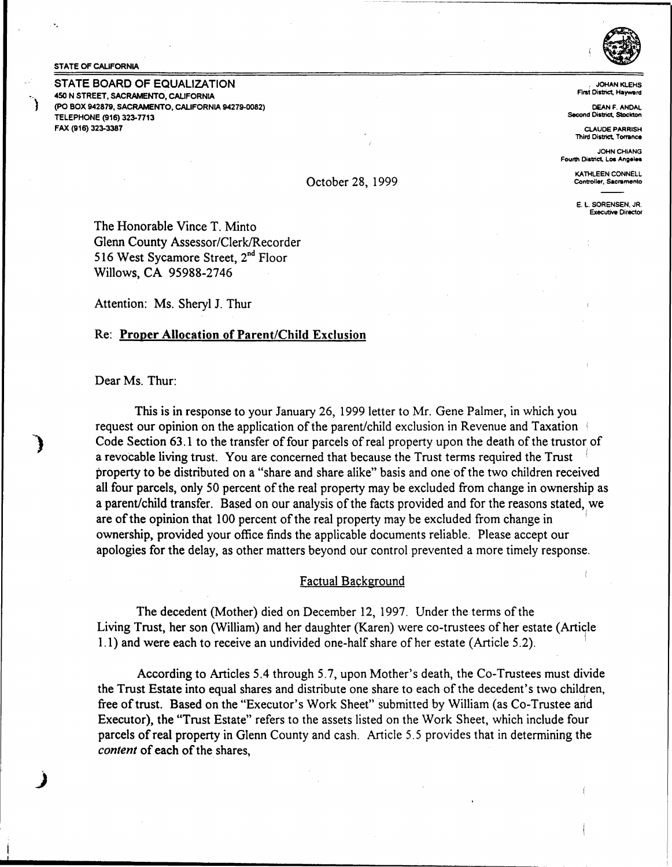#### STATE OF CALIFORNIA

STATE BOARD OF EQUALIZATION 450 N STREET, SACRAMENTO, CALIFORNIA (PO BOX 942879, SACRAMENTO, CALIFORNIA 94279-0082) TELEPHONE (916) 323-7713 FAX (916) 323-3387



, JOHAN KLEHS First District, Hayward

DEAN F. ANDAL Second District, Stockton

CLAUDE PARRISH **Third District, Torrance** 

JOHN CHIANG Fourth District. Los **Angeles** 

> KATHLEEN CONNELL Controller, **Sacramento**

E. L. SORENSEN, JR. **Executive** Director

The Honorable Vince T. Minto Glenn County Assessor/Clerk/Recorder 516 West Sycamore Street, 2<sup>nd</sup> Floor Willows, CA 95988-2746

Attention: Ms. Sheryl J. Thur

# Re: Proper Allocation of Parent/Child Exclusion

Dear Ms. Thur:

This is in response to your January 26, 1999 letter to Mr. Gene Palmer, in which you request our opinion on the application of the parent/child exclusion in Revenue and Taxation <sup>1</sup> Code Section 63.1 to the transfer of four parcels of real property upon the death of the trustor of a revocable living trust. You are concerned that because the Trust terms required the Trust property to be distributed on a "share and share alike" basis and one of the two children received all four parcels, only 50 percent of the real property may be excluded from change in ownership as a parent/child transfer. Based on our analysis of the facts provided and for the reasons stated, we are of the opinion that 100 percent of the real property may be excluded from change in <sup>1</sup> ownership, provided your office finds the applicable documents reliable. Please accept our apologies for the delay, as other matters beyond our control prevented a more timely response.

October 28, 1999

### Factual Background

The decedent (Mother) died on December 12, 1997. Under the terms of the Living Trust, her son (William) and her daughter (Karen) were co-trustees of her estate (Article 1.1) and were each to receive an undivided one-half share of her estate (Article 5.2).

According to Articles 5.4 through 5.7, upon Mother's death, the Co-Trustees must divide the Trust Estate into equal shares and distribute one share to each of the decedent's two children, free of trust. Based on the "Executor's Work Sheet" submitted by William (as Co-Trustee and Executor), the "Trust Estate" refers to the assets listed on the Work Sheet, which include four parcels of real property in Glenn County and cash. Article 5.5 provides that in determining the *content* of each of the shares,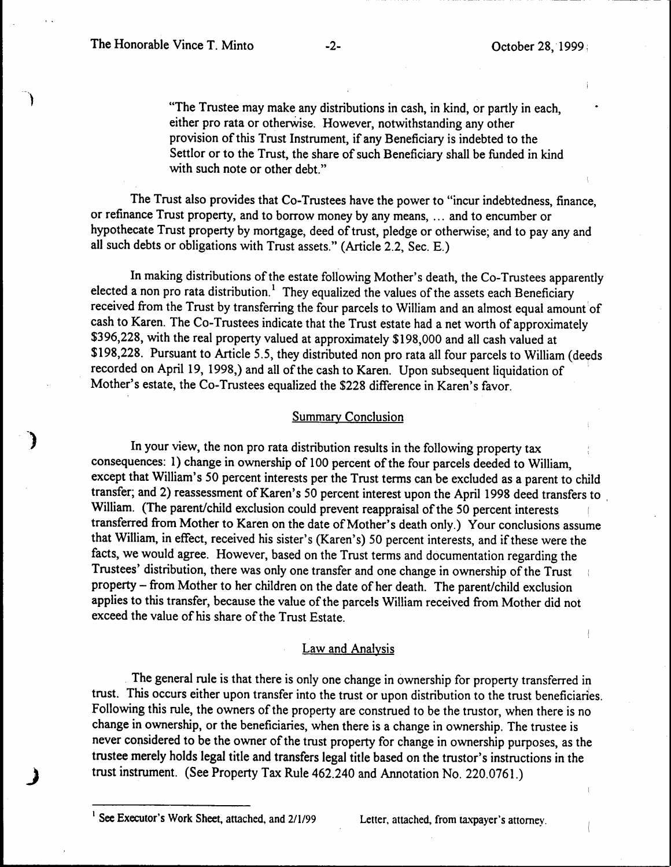"The Trustee may make any distributions in cash, in kind, or partly in each, either pro rata or otherwise. However, notwithstanding any other provision of this Trust Instrument, if any Beneficiary is indebted to the Settlor or to the Trust, the share of such Beneficiary shall be funded in kind with such note or other debt."

The Trust also provides that Co-Trustees have the power to "incur indebtedness, finance, or refinance Trust property, and to borrow money by any means, ... and to encumber or hypothecate Trust property by mortgage, deed of trust, pledge or otherwise; and to pay any and all such debts or obligations with Trust assets." (Article 2.2, Sec. E.)

In making distributions of the estate following Mother's death, the Co-Trustees apparently elected a non pro rata distribution.<sup>1</sup> They equalized the values of the assets each Beneficiary received from the Trust by transferring the four parcels to William and an almost equal amount'of cash to Karen. The Co-Trustees indicate that the Trust estate had a net worth of approximately \$396,228, with the real property valued at approximately \$198,000 and all cash valued at \$198,228. Pursuant to Article 5.5, they distributed non pro rata all four parcels to William (deeds recorded on April 19, 1998,) and all of the cash to Karen. Upon subsequent liquidation of Mother's estate, the Co-Trustees equalized the \$228 difference in Karen's favor.

## Summary Conclusion

In your view, the non pro rata distribution results in the following property tax consequences: 1) change in ownership of 100 percent of the four parcels deeded to William, except that William's 50 percent interests per the Trust terms can be excluded as a parent to child transfer; and 2) reassessment of Karen's 50 percent interest upon the April 1998 deed transfers to , William. (The parent/child exclusion could prevent reappraisal of the 50 percent interests transferred from Mother to Karen on the date of Mother's death only.) Your conclusions assume that William, in effect, received his sister's (Karen's) 50 percent interests, and if these were the facts, we would agree. However, based on the Trust terms and documentation regarding the Trustees' distribution, there was only one transfer and one change in ownership of the Trust property - from Mother to her children on the date of her death. The parent/child exclusion applies to this transfer, because the value of the parcels William received from Mother did not exceed the value of his share of the Trust Estate.

## Law and Analysis

. The general rule is that there is only one change in ownership for property transferred in trust. This occurs either upon transfer into the trust or upon distribution to the trust beneficiaries. Following this rule, the owners of the property are construed to be the trustor, when there is no change in ownership, or the beneficiaries, when there is a change in ownership. The trustee is never considered to be the owner of the trust property for change in ownership purposes, as the trustee merely holds legal title and transfers legal title based on the trustor's instructions in the trust instrument. (See Property Tax Rule 462.240 and Annotation No. 220.0761.)

See Executor's Work Sheet, attached, and 2/1/99 Letter, attached, from taxpayer's attorney.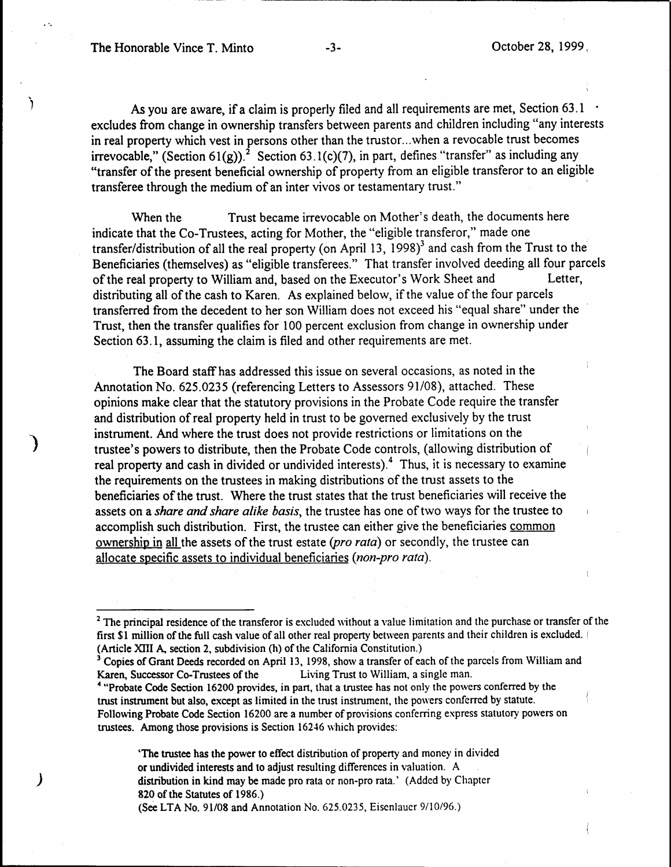ŕ

)

As you are aware, if a claim is properly filed and all requirements are met, Section 63.1 excludes from change in ownership transfers between parents and children including "any interests in real property which vest in persons other than the trustor ... when a revocable trust becomes irrevocable," (Section 61(g)).<sup>2</sup> Section 63.1(c)(7), in part, defines "transfer" as including any "transfer of the present beneficial ownership of property from an eligible transferor to an eligible transferee through the medium of an inter vivos or testamentary trust."

When the Trust became irrevocable on Mother's death, the documents here indicate that the Co-Trustees, acting for Mother, the "eligible transferor," made one transfer/distribution of all the real property (on April 13, 1998) $3$  and cash from the Trust to the Beneficiaries (themselves) as "eligible transferees." That transfer involved deeding all four parcels of the real property to William and, based on the Executor's Work Sheet and Letter, distributing all of the cash to Karen. As explained below, if the value of the four parcels transferred from the decedent to her son William does not exceed his "equal share" under the Trust, then the transfer qualifies for 100 percent exclusion from change in ownership under Section 63.1, assuming the claim is filed and other requirements are met.

The Board staff has addressed this issue on several occasions, as noted in the Annotation No. 625.0235 (referencing Letters to Assessors 91/08), attached. These opinions make clear that the statutory provisions in the Probate Code require the transfer and distribution of real property held in trust to be governed exclusively by the trust instrument. And where the trust does not provide restrictions or limitations on the trustee's powers to distribute, then the Probate Code controls, (allowing distribution of real property and cash in divided or undivided interests).<sup>4</sup> Thus, it is necessary to examine the requirements on the trustees in making distributions of the trust assets to the beneficiaries of the trust. Where the trust states that the trust beneficiaries will receive the assets on a *share and share alike basis,* the trustee has one of two ways for the trustee to accomplish such distribution. First, the trustee can either give the beneficiaries common ownership in all the assets of the trust estate *(pro rata)* or secondly, the trustee can allocate specific assets to individual beneficiaries *(non-pro rata).* 

'The trustee has the power to effect distribution of property and money in divided or undivided interests and to adjust resulting differences in valuation. A distribution in kind may be made pro rata or non-pro rata.' (Added by Chapter 820 of the Statutes of 1986.) (See LTA No. 91/08 and Annotation No. 625.0235, Eisenlauer 9/10/96.)

<sup>&</sup>lt;sup>2</sup> The principal residence of the transferor is excluded without a value limitation and the purchase or transfer of the first \$1 million of the full cash value of all other real property between parents and their children is excluded. <sup>1</sup> (Article XIII A, section 2, subdivision (h) of the California Constitution.)

<sup>&</sup>lt;sup>3</sup> Copies of Grant Deeds recorded on April 13, 1998, show a transfer of each of the parcels from William and Karen, Successor Co-Trustees of the Living Trust to William, a single man.

<sup>&</sup>lt;sup>4</sup> "Probate Code Section 16200 provides, in part, that a trustee has not only the powers conferred by the trust instrument but also, except as limited in the trust instrument, the powers conferred by statute. Following Probate Code Section 16200 are a number of provisions conferring express statutory powers on trustees. Among those provisions is Section 16246 which provides: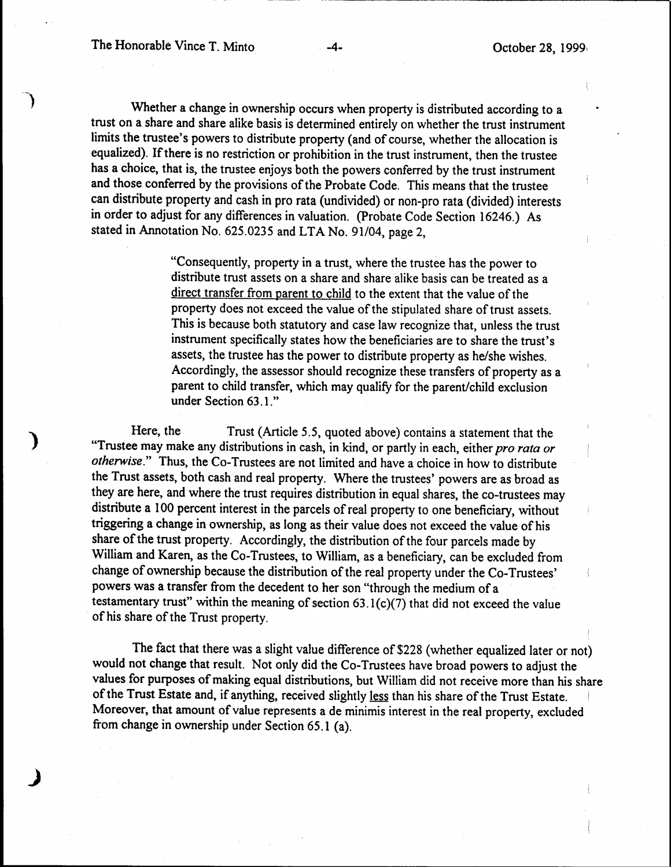Whether a change in ownership occurs when property is distributed according to a trust on a share and share alike basis is determined entirely on whether the trust instrument limits the trustee's powers to distribute property (and of course, whether the allocation is equalized). If there is no restriction or prohibition in the trust instrument, then the trustee has a choice, that is, the trustee enjoys both the powers conferred by the trust instrument and those conferred by the provisions of the Probate Code. This means that the trustee can distribute property and cash in pro rata (undivided) or non-pro rata (divided) interests in order to adjust for any differences in valuation. (Probate Code Section 16246.) As stated in Annotation No. 625.0235 and LTA No. 91/04, page 2,

> "Consequently, property in a trust, where the trustee has the power to distribute trust assets on a share and share alike basis can be treated as a direct transfer from parent to child to the extent that the value of the property does not exceed the value of the stipulated share of trust assets. This is because both statutory and case law recognize that, unless the trust instrument specifically states how the beneficiaries are to share the trust's assets, the trustee has the power to distribute property as he/she wishes. Accordingly, the assessor should recognize these transfers of property as a parent to child transfer, which may qualify for the parent/child exclusion under Section 63.1."

Here, the Trust (Article 5.5, quoted above) contains a statement that the "Trustee may make any distributions in cash, in kind, or partly in each, either *pro rata or otherwise."* Thus, the Co-Trustees are not limited and have a choice in how to distribute the Trust assets, both cash and real property. Where the trustees' powers are as broad as they are here, and where the trust requires distribution in equal shares, the co-trustees may distribute a 100 percent interest in the parcels of real property to one beneficiary, without triggering a change in ownership, as long as their value does not exceed the value of his share of the trust property. Accordingly, the distribution of the four parcels made by William and Karen, as the Co-Trustees, to William, as a beneficiary, can be excluded from change of ownership because the distribution of the real property under the Co-Trustees' powers was a transfer from the decedent to her son "through the medium of a testamentary trust" within the meaning of section  $63.1(c)(7)$  that did not exceed the value of his share of the Trust property.

The fact that there was a slight value difference of \$228 (whether equalized later or not) would not **change** that result. Not only did the Co-Trustees have broad powers to adjust the values for purposes of making equal distributions, but William did not receive more than his share of the Trust Estate and, if anything, received slightly less than his share of the Trust Estate. Moreover, that amount of value represents a de minimis interest in the real property, excluded from change in ownership under Section 65.1 (a).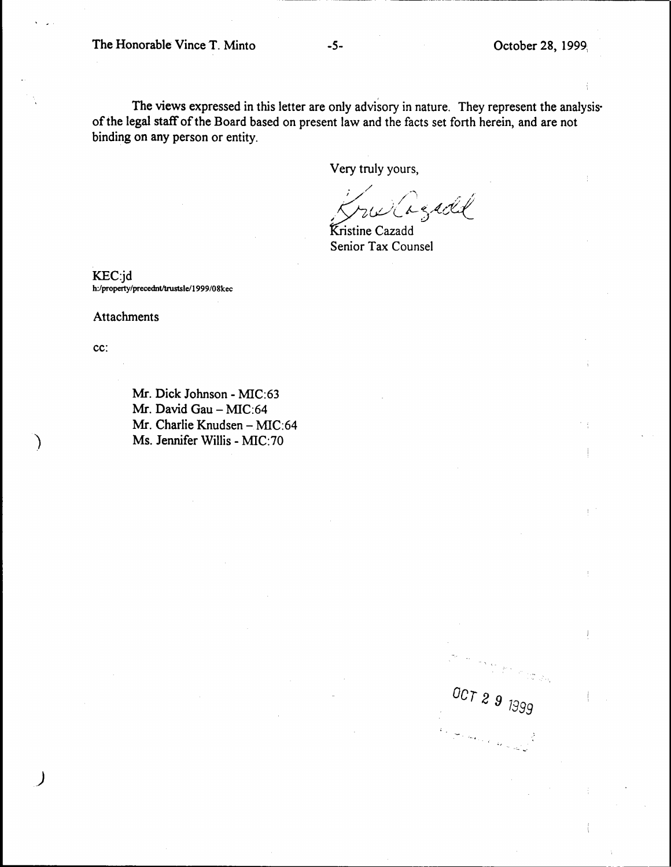The Honorable Vince T. Minto -5- Corober 28, 1999,

*ocr 2 9 7899* 

The views expressed in this letter are only advisory in nature. They represent the analysis· of the legal staff of the Board based on present law and the facts set forth herein, and are not binding on any person or entity.

Very truly yours,

. / ~.~if *5,<d(* 

Senior Tax Counsel

KEC:jd h:/property/precednt/trustsle/1999/08kec

Attachments

cc:

Mr. Dick Johnson - MIC:63 Mr. David Gau - MIC:64 Mr. Charlie Knudsen - MIC:64 Ms. Jennifer Willis - MIC:70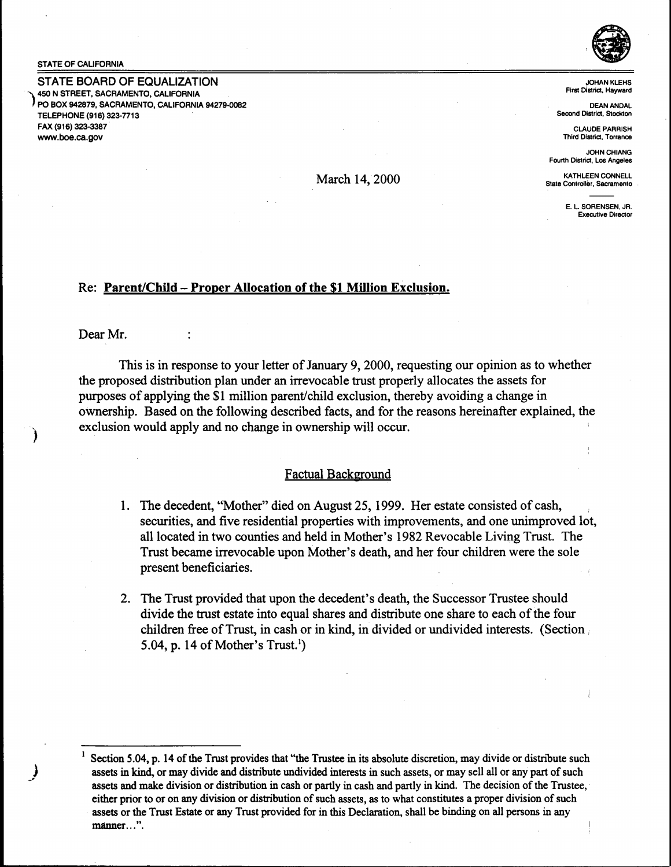#### STATE OF CALIFORNIA

STATE BOARD OF EQUALIZATION 450 N STREET, SACRAMENTO, CALIFORNIA PO BOX 942879, SACRAMENTO, CALIFORNIA 94279-0082 TELEPHONE (916) 323-7713 FAX (916) 323-3387 www.boe.ca.gov



JOHANKLEHS First District. Hayward

DEANANDAL Second District, Stockton

CLAUDE PARRISH Third District. Torrance

JOHN CHIANG Fourth District, Los Angeles

KATHLEEN CONNELL State Controller, Sacramento

> E. L SORENSEN. JR. Executive Direcior

# Re: **Parent/Child** - **Proper Allocation of the \$1 Million Exclusion.**

Dear Mr.

This is in response to your letter of January 9, 2000, requesting our opinion as to whether the proposed distribution plan under an irrevocable trust properly allocates the assets for purposes of applying the \$1 million parent/child exclusion, thereby avoiding a change in ownership. Based on the following described facts, and for the reasons hereinafter explained, the exclusion would apply and no change in ownership will occur.

March 14, 2000

## Factual Background

- 1. The decedent, "Mother" died on August 25, 1999. Her estate consisted of cash, securities, and five residential properties with improvements, and one unimproved lot, all located in two counties and held in Mother's 1982 Revocable Living Trust. The Trust became irrevocable upon Mother's death, and her four children were the sole present beneficiaries.
- 2. The Trust provided that upon the decedent's death, the Successor Trustee should divide the trust estate into equal shares and distribute one share to each of the four children free of Trust, in cash or in kind, in divided or undivided interests. (Section 5.04, p. 14 of Mother's Trust.')

<sup>1</sup>**Section 5.04, p. 14 of the Trust provides that "the Trustee** in **its absolute discretion, may divide or distribute such assets** in **kind, or may divide and distribute undivided interests** in **such assets,** or **may sell** all or **any part of such assets and make division or distribution** in **cash or partly** in **cash and partly** in **kind. The decision of the Trustee,** · **either prior to or on any division or distribution of such assets, as to what constitutes a proper division of such assets or the Trust Estate or any Trust provided for** in **this Declaration, shall be binding** on **all persons** in any **manner ... ".**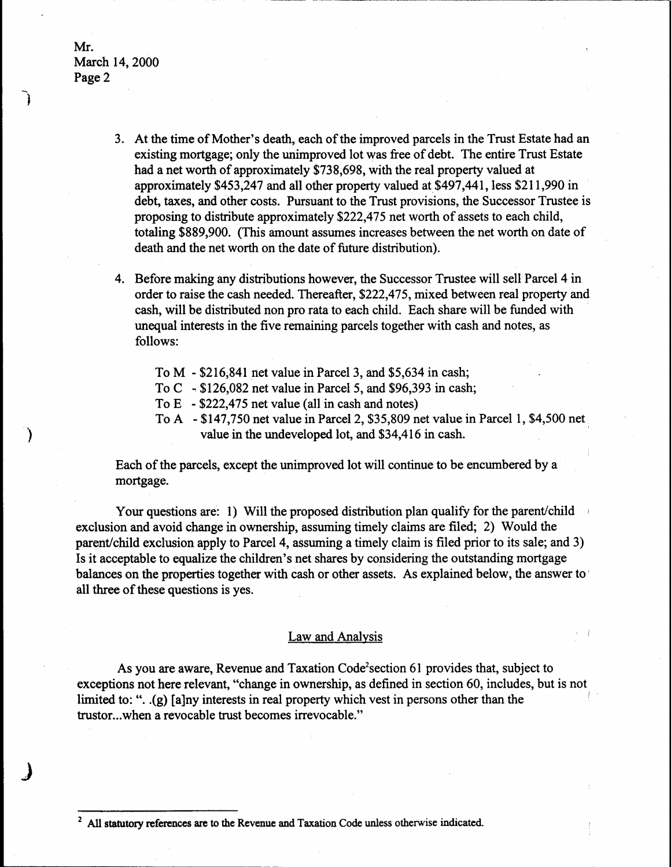- 3. At the time of Mother's death, each of the improved parcels in the Trust Estate had an existing mortgage; only the unimproved lot was free of debt. The entire Trust Estate had a net worth of approximately \$738,698, with the real property valued at approximately \$453,247 and all other property valued at\$497,441, less \$211,990 in debt, taxes, and other costs. Pursuant to the Trust provisions, the Successor Trustee is proposing to distribute approximately \$222,475 net worth of assets to each child, totaling \$889,900. (This amount assumes increases between the net worth on date of death and the net worth on the date of future distribution).
- 4. Before making any distributions however, the Successor Trustee will sell Parcel 4 in order to raise the cash needed. Thereafter, \$222,475, mixed between real property and cash, will be distributed non pro rata to each child. Each share will be funded with unequal interests in the five remaining parcels together with cash and notes, as follows:
	- To M \$216,841 net value in Parcel 3, and \$5,634 in cash;
	- To C  $-$  \$126,082 net value in Parcel 5, and \$96,393 in cash;
	- To E \$222,475 net value (all in cash and notes)
	- To A \$147,750 net value in Parcel 2, \$35,809 net value in Parcel 1, \$4,500 net value in the undeveloped lot, and \$34,416 in cash.

Each of the parcels, except the unimproved lot will continue to be encumbered by a mortgage.

Your questions are: 1) Will the proposed distribution plan qualify for the parent/child exclusion and avoid change in ownership, assuming timely claims are filed; 2) Would the parent/child exclusion apply to Parcel 4, assuming a timely claim is filed prior to its sale; and 3) Is it acceptable to equalize the children's net shares by considering the outstanding mortgage balances on the properties together with cash or other assets. As explained below, the answer to ' all three of these questions is yes.

### Law and Analysis

As you are aware, Revenue and Taxation Code<sup>2</sup>section 61 provides that, subject to exceptions not here relevant, "change in ownership, as defined in section 60, includes, but is not. limited to: ". .(g) [a]ny interests in real property which vest in persons other than the trustor...when a revocable trust becomes irrevocable."

<sup>2</sup> **All statutory references are** to **the Revenue and** Taxation Code unless otherwise indicated.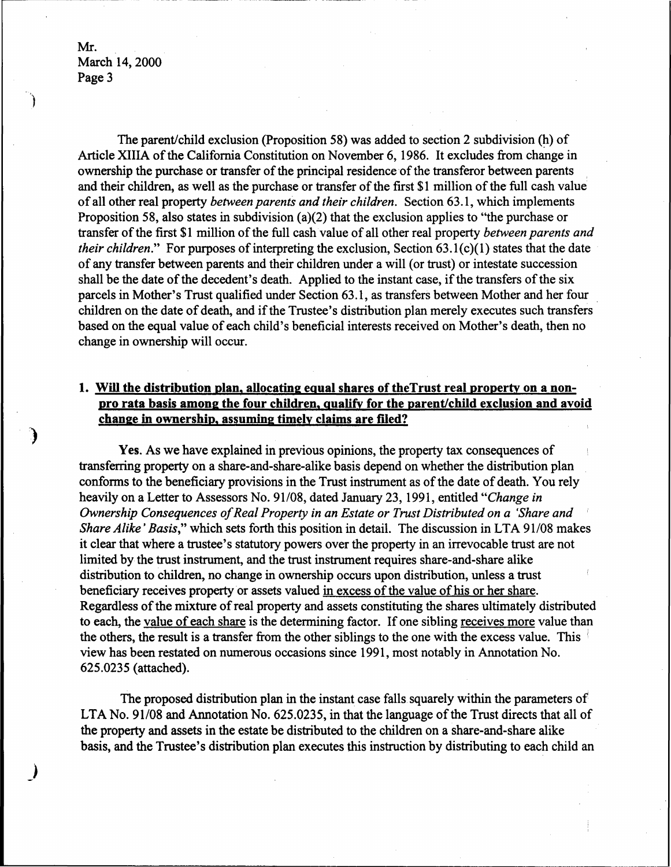J

The parent/child exclusion (Proposition 58) was added to section 2 subdivision (h) of Article XIIIA of the California Constitution on November 6, 1986. It excludes from change in ownership the purchase or transfer of the principal residence of the transferor between parents and their children, as well as the purchase or transfer of the first \$1 million of the full cash value of all other real property *between parents and their children.* Section 63 .1, which implements Proposition 58, also states in subdivision (a)(2) that the exclusion applies to ''the purchase or transfer of the first \$1 million of the full cash· value of all other real property *between parents and their children.*" For purposes of interpreting the exclusion, Section 63.1(c)(1) states that the date of any transfer between parents and their children under a will (or trust) or intestate succession shall be the date of the decedent's death. Applied to the instant case, if the transfers of the six parcels in Mother's Trust qualified under Section 63.1, as transfers between Mother and her four children on the date of death, and if the Trustee's distribution plan merely executes such transfers based on the equal value of each child's beneficial interests received on Mother's death, then no change in ownership will occur.

# 1. Will the distribution plan, allocating equal shares of the Trust real property on a non**pro rata basis among the four children, qualify for the parent/child exclusion and avoid change** in **ownership, assuming timely claims are flied?**

**Yes.** As we have explained in previous opinions, the property tax consequences of transferring property on a share-and-share-alike basis depend on whether the distribution plan conforms to the beneficiary provisions in the Trust instrument as of the date of death. You rely heavily on a Letter to Assessors No. 91/08, dated January 23, 1991, entitled *"Change in Ownership Consequences of Real Property in an Estate or Trust Distributed on a 'Share and Share Alike' Basis,*" which sets forth this position in detail. The discussion in LTA 91/08 makes it clear that where a trustee's statutory powers over the property in an irrevocable trust are not limited by the trust instrument, and the trust instrument requires share-and-share alike distribution to children, no change in ownership occurs upon distribution, unless a trust beneficiary receives property or assets valued in excess of the value of his or her share. Regardless of the mixture of real property and assets constituting the shares ultimately distributed to each, the value of each share is the determining factor. If one sibling receives more value than the others, the result is a transfer from the other siblings to the one with the excess value. This <sup>1</sup> view has been restated on numerous occasions since 1991, most notably in Annotation No. 625.0235 (attached).

The proposed distribution plan in the instant case falls. squarely within the parameters of LTA No. 91/08 and Annotation No. 625.0235, in that the language of the Trust directs that all of the property and assets in the estate be distributed to the children on a share-and-share alike basis, and the Trustee's distribution plan executes this instruction by distributing to each child an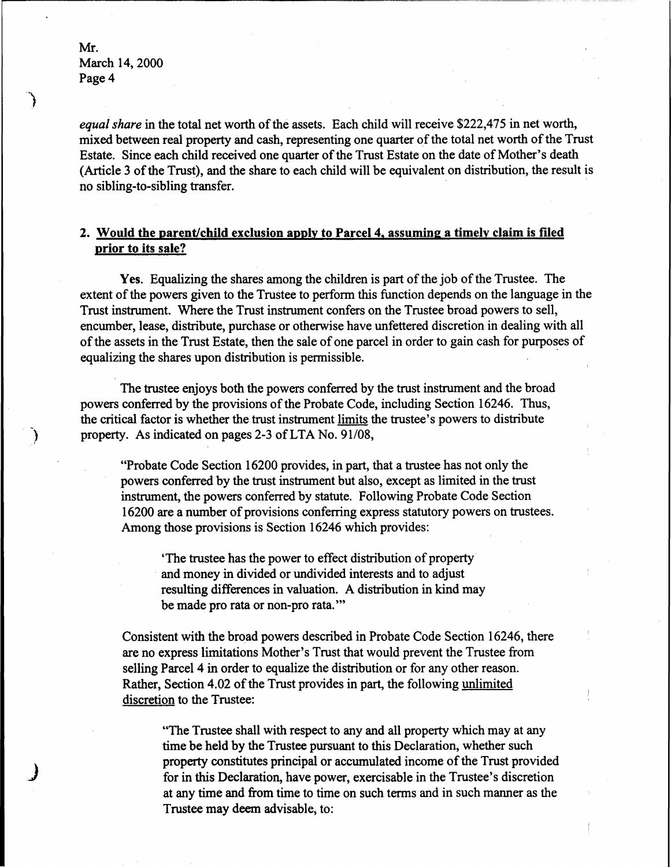€

*equal share* in the total net worth of the assets. Each child will receive \$222,475 in net worth, mixed between real property and cash, representing one quarter of the total net worth of the Trust Estate. Since each child received one quarter of the Trust Estate on the date of Mother's death (Article 3 of the Trust), and the share to each child will be equivalent on distribution, the result is no sibling-to-sibling transfer. ·

# 2. Would the parent/child exclusion apply to Parcel 4, assuming a timely claim is filed **prior to its sale?**

**Yes.** Equalizing the shares among the children is part of the job of the Trustee. The extent of the powers given to the Trustee to perform this function depends on the language in the Trust instrument. Where the Trust instrument confers on the Trustee broad powers to sell, encumber, lease, distribute, purchase or otherwise have unfettered discretion in dealing with all of the assets in the Trust Estate, then the sale of one parcel in order to gain cash for purposes of equalizing the shares upon distribution is permissible.

The trustee enjoys both the powers conferred by the trust instrument and the broad powers conferred by the provisions of the Probate Code, including Section 16246. Thus, the critical factor is whether the trust instrument limits the trustee's powers to distribute property. As indicated on pages 2-3 of LTA No. 91/08,

"Probate Code Section 16200 provides, in part, that a trustee has not only the powers conferred by the trust instrument but also, except as limited in the trust instrument, the powers conferred by statute. Following Probate Code Section 16200 are a number of provisions conferring express statutory powers on trustees. Among those provisions is Section 16246 which provides:

'The trustee has the power to effect distribution of property and money in divided or undivided interests and to adjust resulting differences in valuation. A distribution in kind may be made pro rata or non-pro rata."'

Consistent with the broad powers described in Probate Code Section 16246, there are no express limitations Mother's Trust that would prevent the Trustee from selling Parcel 4 in order to equalize the distribution or for any other reason. Rather, Section 4.02 of the Trust provides in part, the following unlimited discretion to the Trustee:

"The Trustee shall with respect to any and all property which may at any time be held by the Trustee pursuant to this Declaration, whether such property constitutes principal or accumulated income of the Trust provided for in this Declaration, have power, exercisable in the Trustee's discretion at any time and from time to time on such terms and in such manner as the Trustee may deem advisable, to: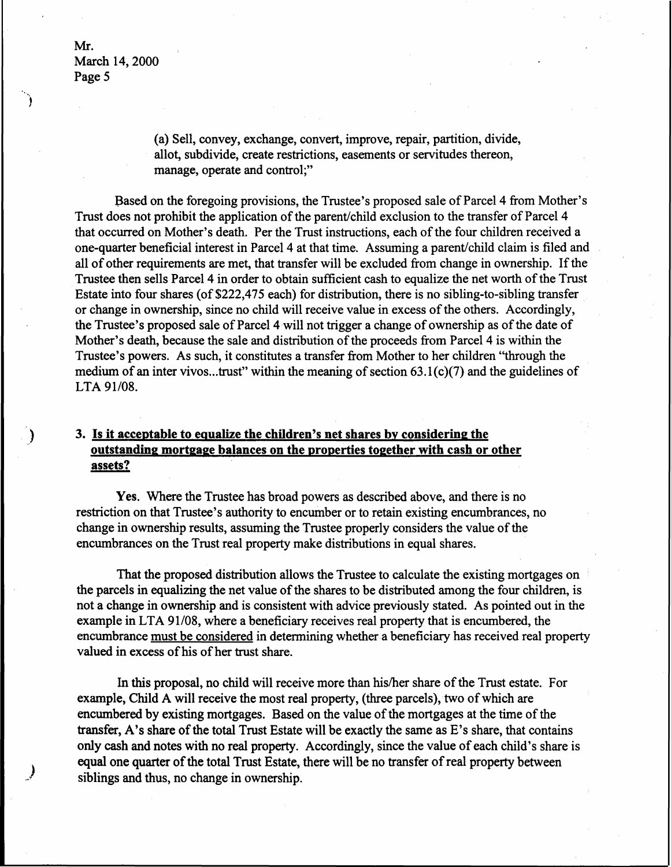> (a) Sell, convey, exchange, convert, improve, repair, partition, divide, allot, subdivide, create restrictions, easements or servitudes thereon, manage, operate and control;"

Based on the foregoing provisions, the Trustee's proposed sale of Parcel 4 from Mother's Trust does not prohibit the application of the parent/child exclusion to the transfer of Parcel 4 that occurred on Mother's death. Per the Trust instructions, each of the four children received a one-quarter beneficial interest in Parcel 4 at that time. Assuming a parent/child claim is filed and all of other requirements are met, that transfer will be excluded from change in ownership. If the Trustee then sells Parcel 4 in order to obtain sufficient cash to equalize the net worth of the Trust Estate into four shares (of \$222,475 each) for distribution, there is no sibling-to-sibling transfer or change in ownership, since no child will receive value in excess of the others. Accordingly, the Trustee's proposed sale of Parcel 4will not trigger a change of ownership as of the date of Mother's death, because the sale and distribution of the proceeds from Parcel 4 is within the Trustee's powers. As such, it constitutes a transfer from Mother to her children ''through the medium of an inter vivos...trust" within the meaning of section  $63.1(c)(7)$  and the guidelines of LTA91/08.

# **3. Is it acceptable** to **equalize the children's net shares by considering the outstanding mortgage balances** on the properties **together** with cash or other **assets?**

**Yes.** Where the Trustee has broad powers as described above, and there is no restriction on that Trustee's authority to encumber or to retain existing encumbrances, no change in ownership results, assuming the Trustee properly considers the value of the encumbrances on the Trust real property make distributions in equal shares.

That the proposed distribution allows the Trustee to calculate the existing mortgages on the parcels in equalizing the net value of the shares to be distributed among the four children, is not a change in ownership and is consistent with advice previously stated. As pointed out in the example in LTA 91/08, where a beneficiary receives real property that is encumbered, the encumbrance must be considered in determining whether a beneficiary has received real property valued in excess of his of her trust share.

In this proposal, no child will receive more than his/her share of the Trust estate. For example, Child A will receive the most real property, (three parcels), two of which are encumbered by existing mortgages. Based on the value of the mortgages at the time of the transfer, A's share of the total Trust Estate will be exactly the same as E's share, that contains only cash and notes with no real property. Accordingly, since the value of each child's share is equal one quarter of the total Trust Estate, there will be no transfer of real property between siblings and thus, no change in ownership.